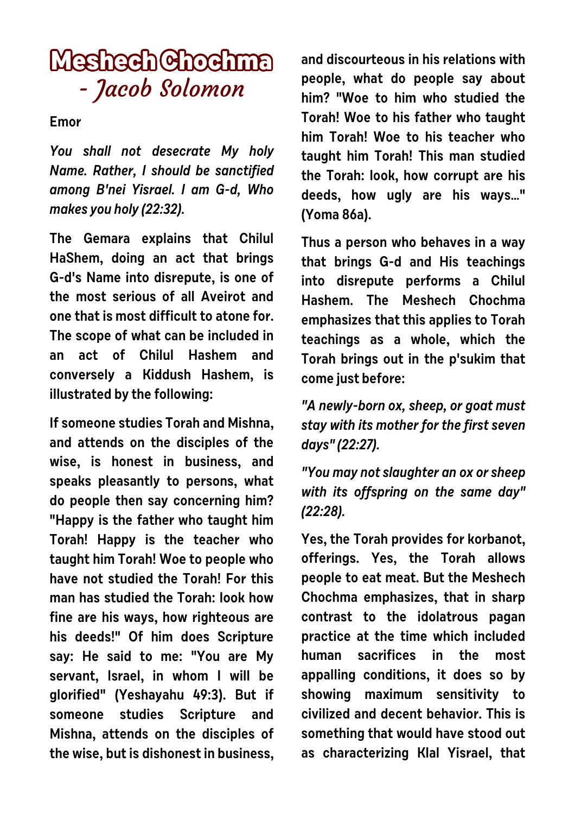## **Meshech Chochma** - Jacob Solomon

**Emor**

**You shall not desecrate My holy Name. Rather, I should be sanctified among B'nei Yisrael. I am G-d, Who makes you holy (22:32).**

**The Gemara explains that Chilul HaShem, doing an act that brings G-d's Name into disrepute, is one of the most serious of all Aveirot and one that is most difficult to atone for. The scope of what can be included in an act of Chilul Hashem and conversely a Kiddush Hashem, is illustrated by the following:** 

**If someone studies Torah and Mishna, and attends on the disciples of the wise, is honest in business, and speaks pleasantly to persons, what do people then say concerning him? "Happy is the father who taught him Torah! Happy is the teacher who taught him Torah! Woe to people who have not studied the Torah! For this man has studied the Torah: look how fine are his ways, how righteous are his deeds!" Of him does Scripture say: He said to me: "You are My servant, Israel, in whom I will be glorified" (Yeshayahu 49:3). But if someone studies Scripture and Mishna, attends on the disciples of the wise, but is dishonest in business,** **and discourteous in his relations with people, what do people say about him? "Woe to him who studied the Torah! Woe to his father who taught him Torah! Woe to his teacher who taught him Torah! This man studied the Torah: look, how corrupt are his deeds, how ugly are his ways…" (Yoma 86a).** 

**Thus a person who behaves in a way that brings G-d and His teachings into disrepute performs a Chilul Hashem. The Meshech Chochma emphasizes that this applies to Torah teachings as a whole, which the Torah brings out in the p'sukim that come just before:**

**"A newly-born ox, sheep, or goat must stay with its mother for the first seven days" (22:27).**

**"You may not slaughter an ox or sheep with its offspring on the same day" (22:28).**

**Yes, the Torah provides for korbanot, offerings. Yes, the Torah allows people to eat meat. But the Meshech Chochma emphasizes, that in sharp contrast to the idolatrous pagan practice at the time which included human sacrifices in the most appalling conditions, it does so by showing maximum sensitivity to civilized and decent behavior. This is something that would have stood out as characterizing Klal Yisrael, that**